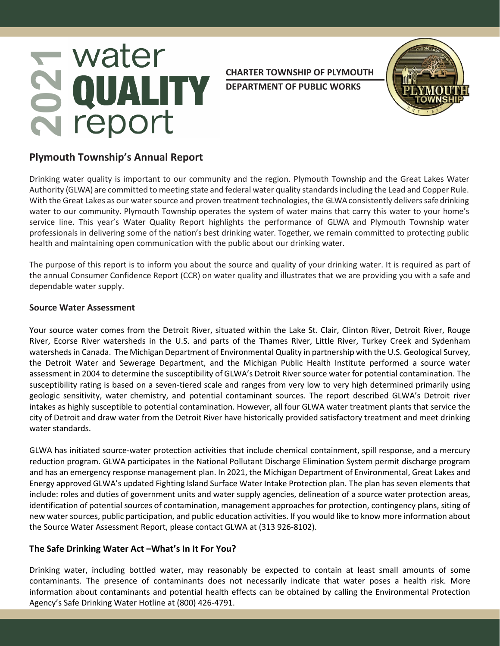**CHARTER TOWNSHIP OF PLYMOUTH DEPARTMENT OF PUBLIC WORKS**



## **Plymouth Township's Annual Report**

Drinking water quality is important to our community and the region. Plymouth Township and the Great Lakes Water Authority (GLWA) are committed to meeting state and federal water quality standards including the Lead and Copper Rule. With the Great Lakes as our water source and proven treatment technologies, the GLWA consistently delivers safe drinking water to our community. Plymouth Township operates the system of water mains that carry this water to your home's service line. This year's Water Quality Report highlights the performance of GLWA and Plymouth Township water professionals in delivering some of the nation's best drinking water. Together, we remain committed to protecting public health and maintaining open communication with the public about our drinking water.

The purpose of this report is to inform you about the source and quality of your drinking water. It is required as part of the annual Consumer Confidence Report (CCR) on water quality and illustrates that we are providing you with a safe and dependable water supply.

#### **Source Water Assessment**

Your source water comes from the Detroit River, situated within the Lake St. Clair, Clinton River, Detroit River, Rouge River, Ecorse River watersheds in the U.S. and parts of the Thames River, Little River, Turkey Creek and Sydenham watersheds in Canada. The Michigan Department of Environmental Quality in partnership with the U.S. Geological Survey, the Detroit Water and Sewerage Department, and the Michigan Public Health Institute performed a source water assessment in 2004 to determine the susceptibility of GLWA's Detroit River source water for potential contamination. The susceptibility rating is based on a seven-tiered scale and ranges from very low to very high determined primarily using geologic sensitivity, water chemistry, and potential contaminant sources. The report described GLWA's Detroit river intakes as highly susceptible to potential contamination. However, all four GLWA water treatment plants that service the city of Detroit and draw water from the Detroit River have historically provided satisfactory treatment and meet drinking water standards. **EXERCT:**<br> **EXERCT:**<br> **EXERCT:**<br> **EXERCT:**<br> **EXERCT:**<br> **EXERCT:**<br> **EXERCT:**<br> **EXERCT:**<br> **EXERCT:**<br> **EXERCT:**<br> **EXERCT:**<br> **EXERCT:**<br> **EXERCT:**<br> **EXERCT:**<br> **EXERCT:**<br> **EXECT:**<br> **EXECT:**<br> **EXECT:**<br> **EXECT:**<br> **EXECT:**<br> **EXECT:** 

GLWA has initiated source-water protection activities that include chemical containment, spill response, and a mercury reduction program. GLWA participates in the National Pollutant Discharge Elimination System permit discharge program and has an emergency response management plan. In 2021, the Michigan Department of Environmental, Great Lakes and Energy approved GLWA's updated Fighting Island Surface Water Intake Protection plan. The plan has seven elements that include: roles and duties of government units and water supply agencies, delineation of a source water protection areas, identification of potential sources of contamination, management approaches for protection, contingency plans, siting of new water sources, public participation, and public education activities. If you would like to know more information about the Source Water Assessment Report, please contact GLWA at (313 926-8102).

#### **The Safe Drinking Water Act –What's In It For You?**

Drinking water, including bottled water, may reasonably be expected to contain at least small amounts of some contaminants. The presence of contaminants does not necessarily indicate that water poses a health risk. More information about contaminants and potential health effects can be obtained by calling the Environmental Protection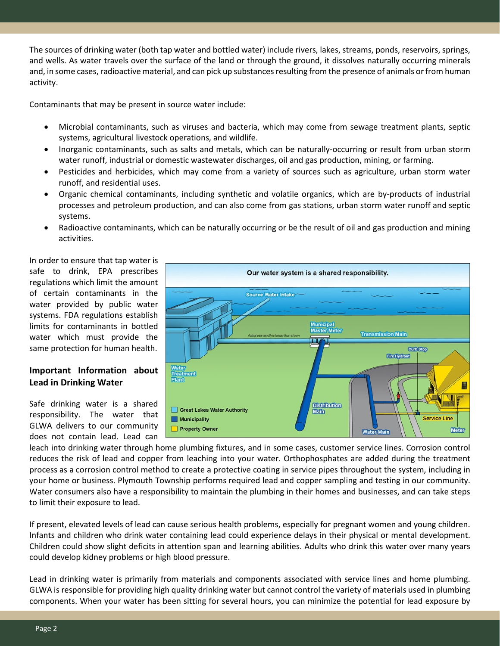The sources of drinking water (both tap water and bottled water) include rivers, lakes, streams, ponds, reservoirs, springs, and wells. As water travels over the surface of the land or through the ground, it dissolves naturally occurring minerals and, in some cases, radioactive material, and can pick up substances resulting from the presence of animals or from human activity.

Contaminants that may be present in source water include:

- Microbial contaminants, such as viruses and bacteria, which may come from sewage treatment plants, septic systems, agricultural livestock operations, and wildlife.
- Inorganic contaminants, such as salts and metals, which can be naturally-occurring or result from urban storm water runoff, industrial or domestic wastewater discharges, oil and gas production, mining, or farming.
- Pesticides and herbicides, which may come from a variety of sources such as agriculture, urban storm water runoff, and residential uses.
- Organic chemical contaminants, including synthetic and volatile organics, which are by-products of industrial processes and petroleum production, and can also come from gas stations, urban storm water runoff and septic systems.
- Radioactive contaminants, which can be naturally occurring or be the result of oil and gas production and mining activities.

In order to ensure that tap water is safe to drink, EPA prescribes regulations which limit the amount of certain contaminants in the water provided by public water systems. FDA regulations establish limits for contaminants in bottled water which must provide the same protection for human health.

#### **Important Information about Lead in Drinking Water**

Safe drinking water is a shared responsibility. The water that GLWA delivers to our community does not contain lead. Lead can



leach into drinking water through home plumbing fixtures, and in some cases, customer service lines. Corrosion control reduces the risk of lead and copper from leaching into your water. Orthophosphates are added during the treatment process as a corrosion control method to create a protective coating in service pipes throughout the system, including in your home or business. Plymouth Township performs required lead and copper sampling and testing in our community. Water consumers also have a responsibility to maintain the plumbing in their homes and businesses, and can take steps to limit their exposure to lead.

If present, elevated levels of lead can cause serious health problems, especially for pregnant women and young children. Infants and children who drink water containing lead could experience delays in their physical or mental development. Children could show slight deficits in attention span and learning abilities. Adults who drink this water over many years could develop kidney problems or high blood pressure.

Lead in drinking water is primarily from materials and components associated with service lines and home plumbing. GLWA is responsible for providing high quality drinking water but cannot control the variety of materials used in plumbing components. When your water has been sitting for several hours, you can minimize the potential for lead exposure by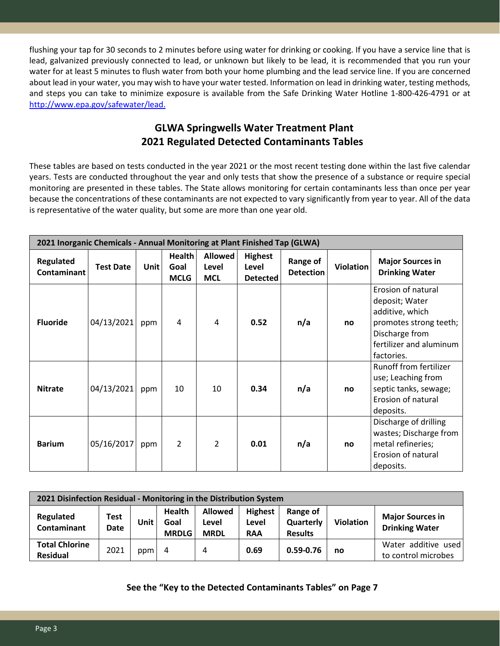flushing your tap for 30 seconds to 2 minutes before using water for drinking or cooking. If you have a service line that is lead, galvanized previously connected to lead, or unknown but likely to be lead, it is recommended that you run your water for at least 5 minutes to flush water from both your home plumbing and the lead service line. If you are concerned about lead in your water, you may wish to have your water tested. Information on lead in drinking water, testing methods, and steps you can take to minimize exposure is available from the Safe Drinking Water Hotline 1-800-426-4791 or at [http://www.epa.gov/safewater/lead.](http://www.epa.gov/safewater/lead)

# **GLWA Springwells Water Treatment Plant 2021 Regulated Detected Contaminants Tables**

These tables are based on tests conducted in the year 2021 or the most recent testing done within the last five calendar years. Tests are conducted throughout the year and only tests that show the presence of a substance or require special monitoring are presented in these tables. The State allows monitoring for certain contaminants less than once per year because the concentrations of these contaminants are not expected to vary significantly from year to year. All of the data is representative of the water quality, but some are more than one year old.

| 2021 Inorganic Chemicals - Annual Monitoring at Plant Finished Tap (GLWA) |                  |      |                                      |                                       |                                            |                              |                  |                                                                                                                                              |
|---------------------------------------------------------------------------|------------------|------|--------------------------------------|---------------------------------------|--------------------------------------------|------------------------------|------------------|----------------------------------------------------------------------------------------------------------------------------------------------|
| Regulated<br>Contaminant                                                  | <b>Test Date</b> | Unit | <b>Health</b><br>Goal<br><b>MCLG</b> | <b>Allowed</b><br>Level<br><b>MCL</b> | <b>Highest</b><br>Level<br><b>Detected</b> | Range of<br><b>Detection</b> | <b>Violation</b> | <b>Major Sources in</b><br><b>Drinking Water</b>                                                                                             |
| <b>Fluoride</b>                                                           | 04/13/2021       | ppm  | 4                                    | 4                                     | 0.52                                       | n/a                          | no               | Erosion of natural<br>deposit; Water<br>additive, which<br>promotes strong teeth;<br>Discharge from<br>fertilizer and aluminum<br>factories. |
| <b>Nitrate</b>                                                            | 04/13/2021       | ppm  | 10                                   | 10                                    | 0.34                                       | n/a                          | no               | Runoff from fertilizer<br>use; Leaching from<br>septic tanks, sewage;<br>Erosion of natural<br>deposits.                                     |
| <b>Barium</b>                                                             | 05/16/2017       | ppm  | $\overline{2}$                       | 2                                     | 0.01                                       | n/a                          | no               | Discharge of drilling<br>wastes; Discharge from<br>metal refineries;<br>Erosion of natural<br>deposits.                                      |

| 2021 Disinfection Residual - Monitoring in the Distribution System |                            |      |                                       |                                        |                                       |                                         |                  |                                                  |
|--------------------------------------------------------------------|----------------------------|------|---------------------------------------|----------------------------------------|---------------------------------------|-----------------------------------------|------------------|--------------------------------------------------|
| Regulated<br><b>Contaminant</b>                                    | <b>Test</b><br><b>Date</b> | Unit | <b>Health</b><br>Goal<br><b>MRDLG</b> | <b>Allowed</b><br>Level<br><b>MRDL</b> | <b>Highest</b><br>Level<br><b>RAA</b> | Range of<br>Quarterly<br><b>Results</b> | <b>Violation</b> | <b>Major Sources in</b><br><b>Drinking Water</b> |
| <b>Total Chlorine</b><br><b>Residual</b>                           | 2021                       | ppm  | 4                                     | 4                                      | 0.69                                  | 0.59-0.76                               | no               | Water additive used<br>to control microbes       |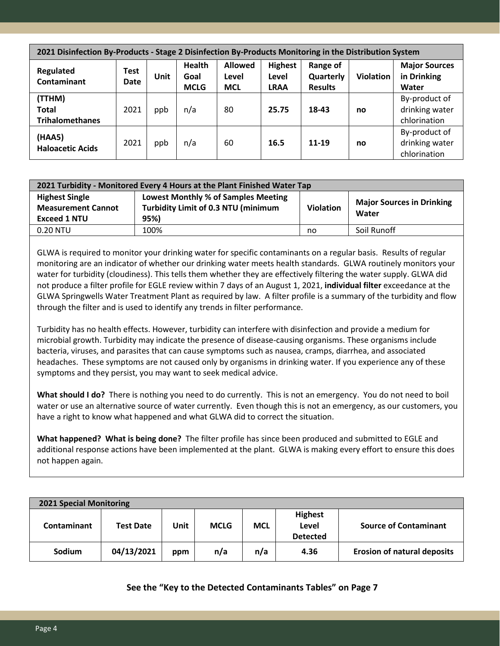| 2021 Disinfection By-Products - Stage 2 Disinfection By-Products Monitoring in the Distribution System |                            |      |                                      |                                       |                                        |                                         |                  |                                                 |
|--------------------------------------------------------------------------------------------------------|----------------------------|------|--------------------------------------|---------------------------------------|----------------------------------------|-----------------------------------------|------------------|-------------------------------------------------|
| Regulated<br><b>Contaminant</b>                                                                        | <b>Test</b><br><b>Date</b> | Unit | <b>Health</b><br>Goal<br><b>MCLG</b> | <b>Allowed</b><br>Level<br><b>MCL</b> | <b>Highest</b><br>Level<br><b>LRAA</b> | Range of<br>Quarterly<br><b>Results</b> | <b>Violation</b> | <b>Major Sources</b><br>in Drinking<br>Water    |
| (TTHM)<br><b>Total</b><br><b>Trihalomethanes</b>                                                       | 2021                       | ppb  | n/a                                  | 80                                    | 25.75                                  | 18-43                                   | no               | By-product of<br>drinking water<br>chlorination |
| (HAA5)<br><b>Haloacetic Acids</b>                                                                      | 2021                       | ppb  | n/a                                  | 60                                    | 16.5                                   | $11 - 19$                               | no               | By-product of<br>drinking water<br>chlorination |

| 2021 Turbidity - Monitored Every 4 Hours at the Plant Finished Water Tap  |                                                                                                  |                  |                                           |  |  |  |  |  |
|---------------------------------------------------------------------------|--------------------------------------------------------------------------------------------------|------------------|-------------------------------------------|--|--|--|--|--|
| <b>Highest Single</b><br><b>Measurement Cannot</b><br><b>Exceed 1 NTU</b> | <b>Lowest Monthly % of Samples Meeting</b><br><b>Turbidity Limit of 0.3 NTU (minimum</b><br>95%) | <b>Violation</b> | <b>Major Sources in Drinking</b><br>Water |  |  |  |  |  |
| $0.20$ NTU                                                                | 100%                                                                                             | no               | Soil Runoff                               |  |  |  |  |  |

GLWA is required to monitor your drinking water for specific contaminants on a regular basis. Results of regular monitoring are an indicator of whether our drinking water meets health standards. GLWA routinely monitors your water for turbidity (cloudiness). This tells them whether they are effectively filtering the water supply. GLWA did not produce a filter profile for EGLE review within 7 days of an August 1, 2021, **individual filter** exceedance at the GLWA Springwells Water Treatment Plant as required by law. A filter profile is a summary of the turbidity and flow through the filter and is used to identify any trends in filter performance.

Turbidity has no health effects. However, turbidity can interfere with disinfection and provide a medium for microbial growth. Turbidity may indicate the presence of disease-causing organisms. These organisms include bacteria, viruses, and parasites that can cause symptoms such as nausea, cramps, diarrhea, and associated headaches. These symptoms are not caused only by organisms in drinking water. If you experience any of these symptoms and they persist, you may want to seek medical advice.

**What should I do?** There is nothing you need to do currently. This is not an emergency. You do not need to boil water or use an alternative source of water currently. Even though this is not an emergency, as our customers, you have a right to know what happened and what GLWA did to correct the situation.

**What happened? What is being done?** The filter profile has since been produced and submitted to EGLE and additional response actions have been implemented at the plant. GLWA is making every effort to ensure this does not happen again.

| <b>2021 Special Monitoring</b> |                  |      |             |            |                                            |                                    |
|--------------------------------|------------------|------|-------------|------------|--------------------------------------------|------------------------------------|
| <b>Contaminant</b>             | <b>Test Date</b> | Unit | <b>MCLG</b> | <b>MCL</b> | <b>Highest</b><br>Level<br><b>Detected</b> | <b>Source of Contaminant</b>       |
| Sodium                         | 04/13/2021       | ppm  | n/a         | n/a        | 4.36                                       | <b>Erosion of natural deposits</b> |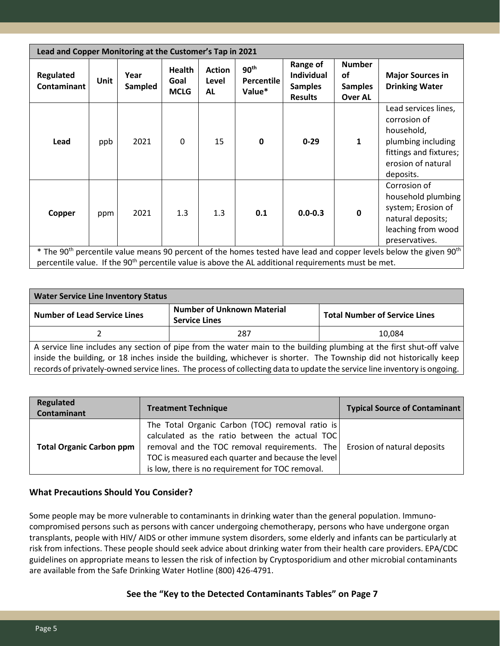|                          | Lead and Copper Monitoring at the Customer's Tap in 2021                                                                                                                                                                                                     |                 |                                      |                                     |                                                 |                                                                   |                                                                |                                                                                                                                       |
|--------------------------|--------------------------------------------------------------------------------------------------------------------------------------------------------------------------------------------------------------------------------------------------------------|-----------------|--------------------------------------|-------------------------------------|-------------------------------------------------|-------------------------------------------------------------------|----------------------------------------------------------------|---------------------------------------------------------------------------------------------------------------------------------------|
| Regulated<br>Contaminant | <b>Unit</b>                                                                                                                                                                                                                                                  | Year<br>Sampled | <b>Health</b><br>Goal<br><b>MCLG</b> | <b>Action</b><br>Level<br><b>AL</b> | 90 <sup>th</sup><br><b>Percentile</b><br>Value* | Range of<br><b>Individual</b><br><b>Samples</b><br><b>Results</b> | <b>Number</b><br><b>of</b><br><b>Samples</b><br><b>Over AL</b> | <b>Major Sources in</b><br><b>Drinking Water</b>                                                                                      |
| Lead                     | ppb                                                                                                                                                                                                                                                          | 2021            | $\mathbf 0$                          | 15                                  | $\Omega$                                        | $0 - 29$                                                          | $\mathbf{1}$                                                   | Lead services lines,<br>corrosion of<br>household,<br>plumbing including<br>fittings and fixtures;<br>erosion of natural<br>deposits. |
| Copper                   | ppm                                                                                                                                                                                                                                                          | 2021            | 1.3                                  | 1.3                                 | 0.1                                             | $0.0 - 0.3$                                                       | $\mathbf 0$                                                    | Corrosion of<br>household plumbing<br>system; Erosion of<br>natural deposits;<br>leaching from wood<br>preservatives.                 |
|                          | * The 90 <sup>th</sup> percentile value means 90 percent of the homes tested have lead and copper levels below the given 90 <sup>th</sup><br>percentile value. If the 90 <sup>th</sup> percentile value is above the AL additional requirements must be met. |                 |                                      |                                     |                                                 |                                                                   |                                                                |                                                                                                                                       |

| <b>Water Service Line Inventory Status</b>                                                                                                                                                                                                                                                                                                                               |                                                           |                                      |  |  |  |  |  |
|--------------------------------------------------------------------------------------------------------------------------------------------------------------------------------------------------------------------------------------------------------------------------------------------------------------------------------------------------------------------------|-----------------------------------------------------------|--------------------------------------|--|--|--|--|--|
| <b>Number of Lead Service Lines</b>                                                                                                                                                                                                                                                                                                                                      | <b>Number of Unknown Material</b><br><b>Service Lines</b> | <b>Total Number of Service Lines</b> |  |  |  |  |  |
| 10.084<br>287                                                                                                                                                                                                                                                                                                                                                            |                                                           |                                      |  |  |  |  |  |
| A service line includes any section of pipe from the water main to the building plumbing at the first shut-off valve<br>inside the building, or 18 inches inside the building, whichever is shorter. The Township did not historically keep<br>records of privately-owned service lines. The process of collecting data to update the service line inventory is ongoing. |                                                           |                                      |  |  |  |  |  |

| Regulated<br><b>Contaminant</b> | <b>Treatment Technique</b>                                                                                                                                                                                                                                                               | <b>Typical Source of Contaminant</b> |
|---------------------------------|------------------------------------------------------------------------------------------------------------------------------------------------------------------------------------------------------------------------------------------------------------------------------------------|--------------------------------------|
| <b>Total Organic Carbon ppm</b> | The Total Organic Carbon (TOC) removal ratio is<br>calculated as the ratio between the actual TOC<br>removal and the TOC removal requirements. The Erosion of natural deposits<br>TOC is measured each quarter and because the level<br>is low, there is no requirement for TOC removal. |                                      |

#### **What Precautions Should You Consider?**

Some people may be more vulnerable to contaminants in drinking water than the general population. Immunocompromised persons such as persons with cancer undergoing chemotherapy, persons who have undergone organ transplants, people with HIV/ AIDS or other immune system disorders, some elderly and infants can be particularly at risk from infections. These people should seek advice about drinking water from their health care providers. EPA/CDC guidelines on appropriate means to lessen the risk of infection by Cryptosporidium and other microbial contaminants are available from the Safe Drinking Water Hotline (800) 426-4791.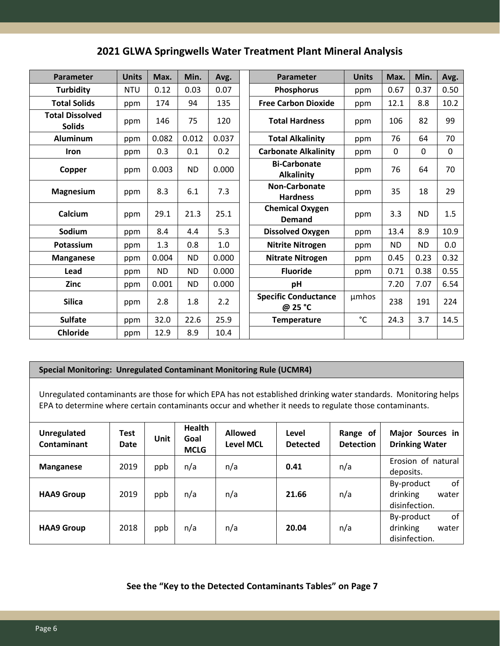# **2021 GLWA Springwells Water Treatment Plant Mineral Analysis**

| Parameter                               | <b>Units</b> | Max.      | Min.      | Avg.  | Parameter                                | <b>Units</b> | Max.        | Min.      | Avg. |
|-----------------------------------------|--------------|-----------|-----------|-------|------------------------------------------|--------------|-------------|-----------|------|
| <b>Turbidity</b>                        | <b>NTU</b>   | 0.12      | 0.03      | 0.07  | Phosphorus                               | ppm          | 0.67        | 0.37      | 0.50 |
| <b>Total Solids</b>                     | ppm          | 174       | 94        | 135   | <b>Free Carbon Dioxide</b>               | ppm          | 12.1        | 8.8       | 10.2 |
| <b>Total Dissolved</b><br><b>Solids</b> | ppm          | 146       | 75        | 120   | <b>Total Hardness</b>                    | ppm          | 106         | 82        | 99   |
| <b>Aluminum</b>                         | ppm          | 0.082     | 0.012     | 0.037 | <b>Total Alkalinity</b>                  | ppm          | 76          | 64        | 70   |
| <b>Iron</b>                             | ppm          | 0.3       | 0.1       | 0.2   | <b>Carbonate Alkalinity</b>              | ppm          | $\mathbf 0$ | 0         | 0    |
| Copper                                  | ppm          | 0.003     | <b>ND</b> | 0.000 | <b>Bi-Carbonate</b><br><b>Alkalinity</b> | ppm          | 76          | 64        | 70   |
| Magnesium                               | ppm          | 8.3       | 6.1       | 7.3   | <b>Non-Carbonate</b><br><b>Hardness</b>  | ppm          | 35          | 18        | 29   |
| Calcium                                 | ppm          | 29.1      | 21.3      | 25.1  | <b>Chemical Oxygen</b><br><b>Demand</b>  | ppm          | 3.3         | <b>ND</b> | 1.5  |
| Sodium                                  | ppm          | 8.4       | 4.4       | 5.3   | <b>Dissolved Oxygen</b>                  | ppm          | 13.4        | 8.9       | 10.9 |
| Potassium                               | ppm          | 1.3       | 0.8       | 1.0   | <b>Nitrite Nitrogen</b>                  | ppm          | <b>ND</b>   | <b>ND</b> | 0.0  |
| <b>Manganese</b>                        | ppm          | 0.004     | <b>ND</b> | 0.000 | <b>Nitrate Nitrogen</b>                  | ppm          | 0.45        | 0.23      | 0.32 |
| Lead                                    | ppm          | <b>ND</b> | <b>ND</b> | 0.000 | <b>Fluoride</b>                          | ppm          | 0.71        | 0.38      | 0.55 |
| Zinc                                    | ppm          | 0.001     | <b>ND</b> | 0.000 | pH                                       |              | 7.20        | 7.07      | 6.54 |
| <b>Silica</b>                           | ppm          | 2.8       | 1.8       | 2.2   | <b>Specific Conductance</b><br>@ 25 °C   | umhos        | 238         | 191       | 224  |
| <b>Sulfate</b>                          | ppm          | 32.0      | 22.6      | 25.9  | <b>Temperature</b>                       | $^{\circ}$ C | 24.3        | 3.7       | 14.5 |
| <b>Chloride</b>                         | ppm          | 12.9      | 8.9       | 10.4  |                                          |              |             |           |      |

#### **Special Monitoring: Unregulated Contaminant Monitoring Rule (UCMR4)**

Unregulated contaminants are those for which EPA has not established drinking water standards. Monitoring helps EPA to determine where certain contaminants occur and whether it needs to regulate those contaminants.

| <b>Unregulated</b><br><b>Contaminant</b> | <b>Test</b><br><b>Date</b> | Unit | <b>Health</b><br>Goal<br><b>MCLG</b> | <b>Allowed</b><br><b>Level MCL</b> | Level<br><b>Detected</b> | Range of<br><b>Detection</b> | Major Sources in<br><b>Drinking Water</b>              |
|------------------------------------------|----------------------------|------|--------------------------------------|------------------------------------|--------------------------|------------------------------|--------------------------------------------------------|
| <b>Manganese</b>                         | 2019                       | ppb  | n/a                                  | n/a                                | 0.41                     | n/a                          | Erosion of natural<br>deposits.                        |
| <b>HAA9 Group</b>                        | 2019                       | ppb  | n/a                                  | n/a                                | 21.66                    | n/a                          | of<br>By-product<br>drinking<br>water<br>disinfection. |
| <b>HAA9 Group</b>                        | 2018                       | ppb  | n/a                                  | n/a                                | 20.04                    | n/a                          | of<br>By-product<br>drinking<br>water<br>disinfection. |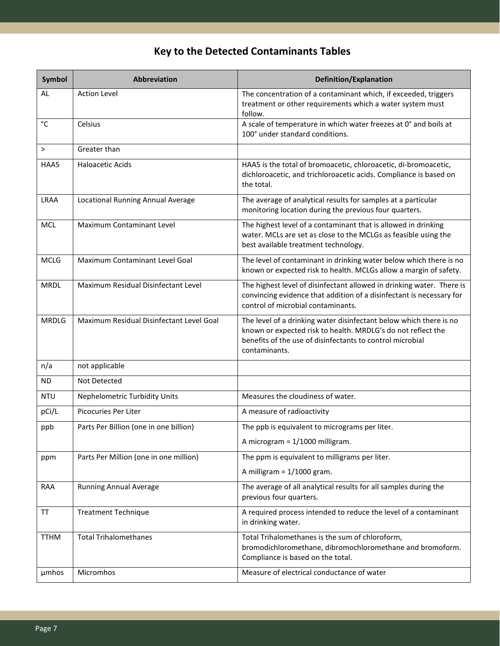# **Key to the Detected Contaminants Tables**

| Symbol       | <b>Abbreviation</b>                      | <b>Definition/Explanation</b>                                                                                                                                                                                    |
|--------------|------------------------------------------|------------------------------------------------------------------------------------------------------------------------------------------------------------------------------------------------------------------|
| <b>AL</b>    | <b>Action Level</b>                      | The concentration of a contaminant which, if exceeded, triggers<br>treatment or other requirements which a water system must<br>follow.                                                                          |
| $^{\circ}$ C | Celsius                                  | A scale of temperature in which water freezes at 0° and boils at<br>100° under standard conditions.                                                                                                              |
| $\, >$       | Greater than                             |                                                                                                                                                                                                                  |
| HAA5         | <b>Haloacetic Acids</b>                  | HAA5 is the total of bromoacetic, chloroacetic, di-bromoacetic,<br>dichloroacetic, and trichloroacetic acids. Compliance is based on<br>the total.                                                               |
| <b>LRAA</b>  | Locational Running Annual Average        | The average of analytical results for samples at a particular<br>monitoring location during the previous four quarters.                                                                                          |
| <b>MCL</b>   | Maximum Contaminant Level                | The highest level of a contaminant that is allowed in drinking<br>water. MCLs are set as close to the MCLGs as feasible using the<br>best available treatment technology.                                        |
| <b>MCLG</b>  | Maximum Contaminant Level Goal           | The level of contaminant in drinking water below which there is no<br>known or expected risk to health. MCLGs allow a margin of safety.                                                                          |
| <b>MRDL</b>  | Maximum Residual Disinfectant Level      | The highest level of disinfectant allowed in drinking water. There is<br>convincing evidence that addition of a disinfectant is necessary for<br>control of microbial contaminants.                              |
| <b>MRDLG</b> | Maximum Residual Disinfectant Level Goal | The level of a drinking water disinfectant below which there is no<br>known or expected risk to health. MRDLG's do not reflect the<br>benefits of the use of disinfectants to control microbial<br>contaminants. |
| n/a          | not applicable                           |                                                                                                                                                                                                                  |
| <b>ND</b>    | Not Detected                             |                                                                                                                                                                                                                  |
| <b>NTU</b>   | Nephelometric Turbidity Units            | Measures the cloudiness of water.                                                                                                                                                                                |
| pCi/L        | <b>Picocuries Per Liter</b>              | A measure of radioactivity                                                                                                                                                                                       |
| ppb          | Parts Per Billion (one in one billion)   | The ppb is equivalent to micrograms per liter.                                                                                                                                                                   |
|              |                                          | A microgram = $1/1000$ milligram.                                                                                                                                                                                |
| ppm          | Parts Per Million (one in one million)   | The ppm is equivalent to milligrams per liter.                                                                                                                                                                   |
|              |                                          | A milligram = $1/1000$ gram.                                                                                                                                                                                     |
| <b>RAA</b>   | Running Annual Average                   | The average of all analytical results for all samples during the<br>previous four quarters.                                                                                                                      |
| TΤ           | <b>Treatment Technique</b>               | A required process intended to reduce the level of a contaminant<br>in drinking water.                                                                                                                           |
| <b>TTHM</b>  | <b>Total Trihalomethanes</b>             | Total Trihalomethanes is the sum of chloroform,<br>bromodichloromethane, dibromochloromethane and bromoform.<br>Compliance is based on the total.                                                                |
| umhos        | Micromhos                                | Measure of electrical conductance of water                                                                                                                                                                       |